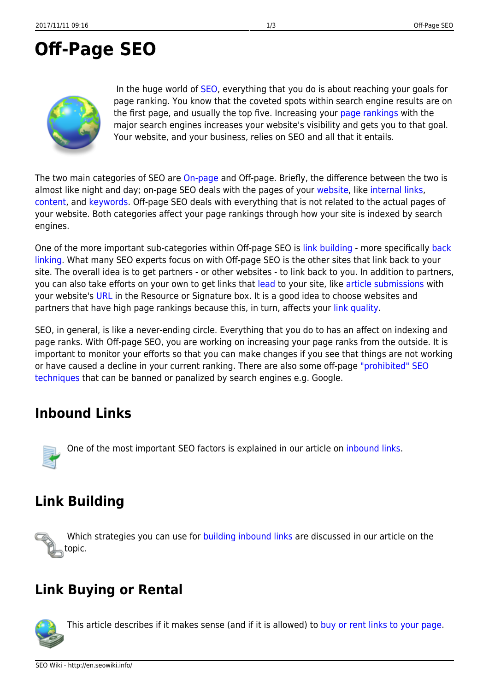# <span id="page-0-0"></span>**Off-Page SEO**

In the huge world of [SEO,](http://en.seowiki.info/optimization) everything that you do is about reaching your goals for page ranking. You know that the coveted spots within search engine results are on the first page, and usually the top five. Increasing your [page rankings](http://en.seowiki.info/glossary/r/ranking) with the major search engines increases your website's visibility and gets you to that goal. Your website, and your business, relies on SEO and all that it entails.

The two main categories of SEO are [On-page](http://en.seowiki.info/onpage_seo) and Off-page. Briefly, the difference between the two is almost like night and day; on-page SEO deals with the pages of your [website](http://en.seowiki.info/glossary/w/web_site), like [internal links](http://en.seowiki.info/onpage_seo/internal_links), [content](http://en.seowiki.info/onpage_seo/page_content), and [keywords.](http://en.seowiki.info/onpage_seo/keywords) Off-page SEO deals with everything that is not related to the actual pages of your website. Both categories affect your page rankings through how your site is indexed by search engines.

One of the more important sub-categories within Off-page SEO is [link building](http://en.seowiki.info/offpage_seo/link_building) - more specifically [back](http://en.seowiki.info/offpage_seo/inbound_links) [linking](http://en.seowiki.info/offpage_seo/inbound_links). What many SEO experts focus on with Off-page SEO is the other sites that link back to your site. The overall idea is to get partners - or other websites - to link back to you. In addition to partners, you can also take efforts on your own to get links that [lead](http://en.seowiki.info/glossary/l/leads) to your site, like [article submissions](http://en.seowiki.info/offpage_seo/article_directories) with your website's [URL](http://en.seowiki.info/glossary/u/url) in the Resource or Signature box. It is a good idea to choose websites and partners that have high page rankings because this, in turn, affects your [link quality.](http://en.seowiki.info/offpage_seo/link_quality)

SEO, in general, is like a never-ending circle. Everything that you do to has an affect on indexing and page ranks. With Off-page SEO, you are working on increasing your page ranks from the outside. It is important to monitor your efforts so that you can make changes if you see that things are not working or have caused a decline in your current ranking. There are also some off-page ["prohibited" SEO](http://en.seowiki.info/best_practices/prohibited_seo_techniques) [techniques](http://en.seowiki.info/best_practices/prohibited_seo_techniques) that can be banned or panalized by search engines e.g. Google.

#### **Inbound Links**

One of the most important SEO factors is explained in our article on [inbound links.](http://en.seowiki.info/offpage_seo/inbound_links)

# **Link Building**

Which strategies you can use for [building inbound links](http://en.seowiki.info/offpage_seo/link_building) are discussed in our article on the topic.

# **Link Buying or Rental**



Thisarticle describes if it makes sense (and if it is allowed) to [buy or rent links to your page.](http://en.seowiki.info/offpage_seo/link_buying)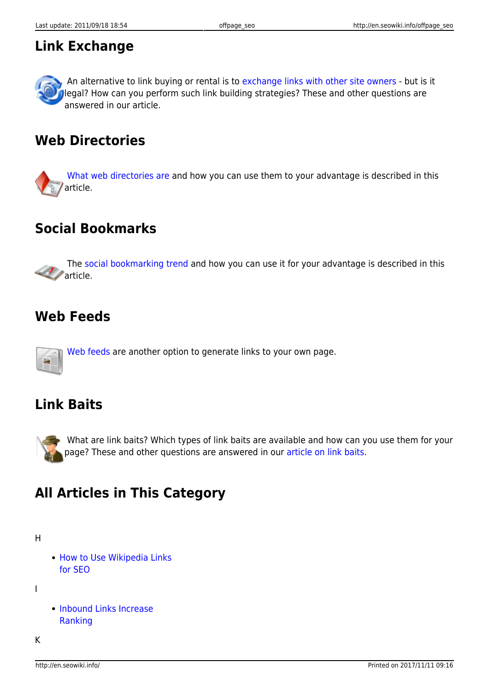#### **Link Exchange**



An alternative to link buying or rental is to [exchange links with other site owners](http://en.seowiki.info/offpage_seo/link_exchange) - but is it legal? How can you perform such link building strategies? These and other questions are answered in our article.

## **Web Directories**

[What web directories are](http://en.seowiki.info/offpage_seo/web_directories) and how you can use them to your advantage is described in this [a](http://en.seowiki.info/offpage_seo/web_directories)rticle.

## **Social Bookmarks**

 The [social bookmarking trend](http://en.seowiki.info/offpage_seo/social_bookmarks) and how you can use it for your advantage is described in this [a](http://en.seowiki.info/offpage_seo/social_bookmarks)rticle.

#### **Web Feeds**

[Web feeds](http://en.seowiki.info/offpage_seo/web_feeds) are another option to generate links to your own page.

#### **Link Baits**



What are link baits? Which types of link baits are available and how can you use them for your page? These and other questions are answered in our [article on link baits.](http://en.seowiki.info/offpage_seo/link_baits)

## **All Articles in This Category**

H

• [How to Use Wikipedia Links](http://en.seowiki.info/offpage_seo/wikipedia) [for SEO](http://en.seowiki.info/offpage_seo/wikipedia)

I

• [Inbound Links Increase](http://en.seowiki.info/offpage_seo/inbound_links) [Ranking](http://en.seowiki.info/offpage_seo/inbound_links)

K